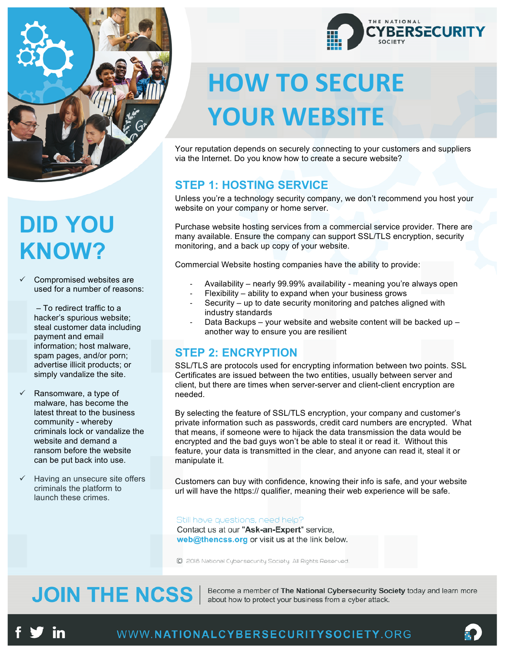

# **DID YOU KNOW?**

Compromised websites are used for a number of reasons:

> – To redirect traffic to a hacker's spurious website; steal customer data including payment and email information; host malware, spam pages, and/or porn; advertise illicit products; or simply vandalize the site.

- Ransomware, a type of malware, has become the latest threat to the business community - whereby criminals lock or vandalize the website and demand a ransom before the website can be put back into use.
- Having an unsecure site offers criminals the platform to launch these crimes.



# **HOW TO SECURE YOUR WEBSITE**

Your reputation depends on securely connecting to your customers and suppliers via the Internet. Do you know how to create a secure website?

#### **STEP 1: HOSTING SERVICE**

Unless you're a technology security company, we don't recommend you host your website on your company or home server.

Purchase website hosting services from a commercial service provider. There are many available. Ensure the company can support SSL/TLS encryption, security monitoring, and a back up copy of your website.

Commercial Website hosting companies have the ability to provide:

- Availability nearly 99.99% availability meaning you're always open
- Flexibility ability to expand when your business grows
- Security up to date security monitoring and patches aligned with industry standards
- Data Backups your website and website content will be backed up another way to ensure you are resilient

#### **STEP 2: ENCRYPTION**

SSL/TLS are protocols used for encrypting information between two points. SSL Certificates are issued between the two entities, usually between server and client, but there are times when server-server and client-client encryption are needed.

By selecting the feature of SSL/TLS encryption, your company and customer's private information such as passwords, credit card numbers are encrypted. What that means, if someone were to hijack the data transmission the data would be encrypted and the bad guys won't be able to steal it or read it. Without this feature, your data is transmitted in the clear, and anyone can read it, steal it or manipulate it.

Customers can buy with confidence, knowing their info is safe, and your website url will have the https:// qualifier, meaning their web experience will be safe.

Still have questions, need help?

Contact us at our "Ask-an-Expert" service, web@thencss.org or visit us at the link below.

C 2018 National Cybersecurity Society. All Rights Reserved.

### **JOIN THE NCSS**

Become a member of The National Cybersecurity Society today and learn more about how to protect your business from a cyber attack.

m

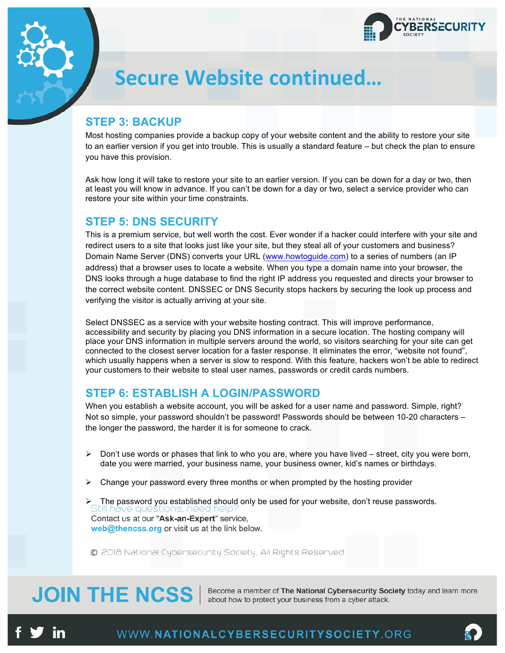

### **Secure Website continued…**

#### **STEP 3: BACKUP**

Most hosting companies provide a backup copy of your website content and the ability to restore your site to an earlier version if you get into trouble. This is usually a standard feature – but check the plan to ensure you have this provision.

Ask how long it will take to restore your site to an earlier version. If you can be down for a day or two, then at least you will know in advance. If you can't be down for a day or two, select a service provider who can restore your site within your time constraints.

#### **STEP 5: DNS SECURITY**

This is a premium service, but well worth the cost. Ever wonder if a hacker could interfere with your site and redirect users to a site that looks just like your site, but they steal all of your customers and business? Domain Name Server (DNS) converts your URL (www.howtoguide.com) to a series of numbers (an IP address) that a browser uses to locate a website. When you type a domain name into your browser, the DNS looks through a huge database to find the right IP address you requested and directs your browser to the correct website content. DNSSEC or DNS Security stops hackers by securing the look up process and verifying the visitor is actually arriving at your site.

Select DNSSEC as a service with your website hosting contract. This will improve performance, accessibility and security by placing you DNS information in a secure location. The hosting company will place your DNS information in multiple servers around the world, so visitors searching for your site can get connected to the closest server location for a faster response. It eliminates the error, "website not found", which usually happens when a server is slow to respond. With this feature, hackers won't be able to redirect your customers to their website to steal user names, passwords or credit cards numbers.

#### **STEP 6: ESTABLISH A LOGIN/PASSWORD**

When you establish a website account, you will be asked for a user name and password. Simple, right? Not so simple, your password shouldn't be password! Passwords should be between 10-20 characters the longer the password, the harder it is for someone to crack.

- $\triangleright$  Don't use words or phases that link to who you are, where you have lived street, city you were born, date you were married, your business name, your business owner, kid's names or birthdays.
- $\triangleright$  Change your password every three months or when prompted by the hosting provider
- > The password you established should only be used for your website, don't reuse passwords.<br>Still have questions, need help? Contact us at our "Ask-an-Expert" service, web@thencss.org or visit us at the link below.

© 2018 National Cybersecurity Society. All Rights Reserved.

### **JOIN THE NCSS**

Become a member of The National Cybersecurity Society today and learn more about how to protect your business from a cyber attack.